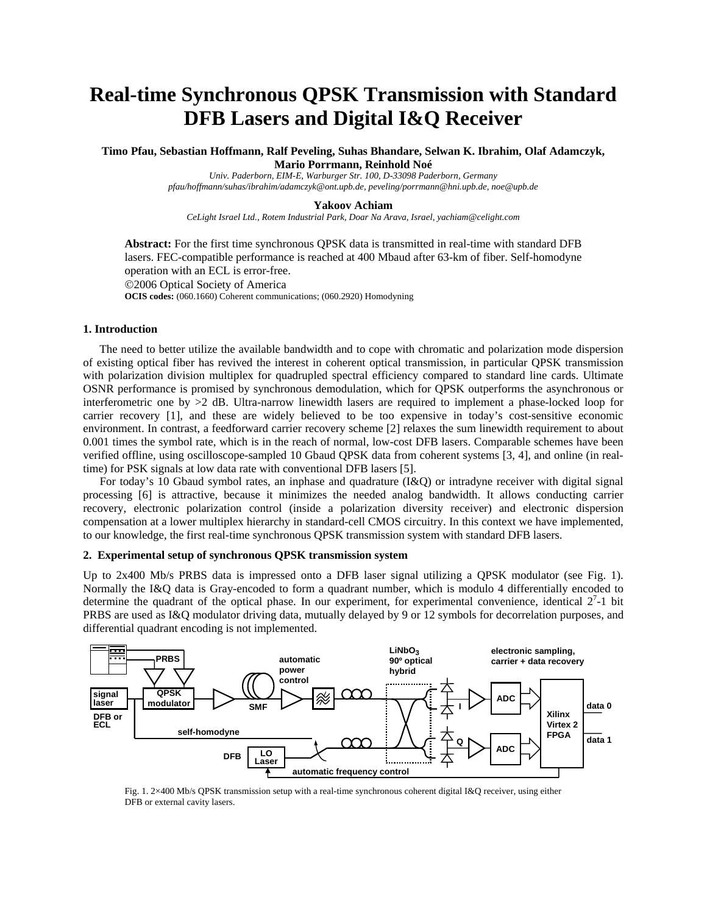# **Real-time Synchronous QPSK Transmission with Standard DFB Lasers and Digital I&Q Receiver**

**Timo Pfau, Sebastian Hoffmann, Ralf Peveling, Suhas Bhandare, Selwan K. Ibrahim, Olaf Adamczyk, Mario Porrmann, Reinhold Noé** 

*Univ. Paderborn, EIM-E, Warburger Str. 100, D-33098 Paderborn, Germany pfau/hoffmann/suhas/ibrahim/adamczyk@ont.upb.de, peveling/porrmann@hni.upb.de, noe@upb.de* 

### **Yakoov Achiam**

*CeLight Israel Ltd., Rotem Industrial Park, Doar Na Arava, Israel, yachiam@celight.com* 

**Abstract:** For the first time synchronous QPSK data is transmitted in real-time with standard DFB lasers. FEC-compatible performance is reached at 400 Mbaud after 63-km of fiber. Self-homodyne operation with an ECL is error-free.

©2006 Optical Society of America

**OCIS codes:** (060.1660) Coherent communications; (060.2920) Homodyning

# **1. Introduction**

The need to better utilize the available bandwidth and to cope with chromatic and polarization mode dispersion of existing optical fiber has revived the interest in coherent optical transmission, in particular QPSK transmission with polarization division multiplex for quadrupled spectral efficiency compared to standard line cards. Ultimate OSNR performance is promised by synchronous demodulation, which for QPSK outperforms the asynchronous or interferometric one by >2 dB. Ultra-narrow linewidth lasers are required to implement a phase-locked loop for carrier recovery [1], and these are widely believed to be too expensive in today's cost-sensitive economic environment. In contrast, a feedforward carrier recovery scheme [2] relaxes the sum linewidth requirement to about 0.001 times the symbol rate, which is in the reach of normal, low-cost DFB lasers. Comparable schemes have been verified offline, using oscilloscope-sampled 10 Gbaud QPSK data from coherent systems [3, 4], and online (in realtime) for PSK signals at low data rate with conventional DFB lasers [5].

For today's 10 Gbaud symbol rates, an inphase and quadrature (I&Q) or intradyne receiver with digital signal processing [6] is attractive, because it minimizes the needed analog bandwidth. It allows conducting carrier recovery, electronic polarization control (inside a polarization diversity receiver) and electronic dispersion compensation at a lower multiplex hierarchy in standard-cell CMOS circuitry. In this context we have implemented, to our knowledge, the first real-time synchronous QPSK transmission system with standard DFB lasers.

## **2. Experimental setup of synchronous QPSK transmission system**

Up to 2x400 Mb/s PRBS data is impressed onto a DFB laser signal utilizing a QPSK modulator (see Fig. 1). Normally the I&Q data is Gray-encoded to form a quadrant number, which is modulo 4 differentially encoded to determine the quadrant of the optical phase. In our experiment, for experimental convenience, identical  $2<sup>7</sup>$ -1 bit PRBS are used as I&Q modulator driving data, mutually delayed by 9 or 12 symbols for decorrelation purposes, and differential quadrant encoding is not implemented.



Fig. 1. 2×400 Mb/s QPSK transmission setup with a real-time synchronous coherent digital I&Q receiver, using either DFB or external cavity lasers.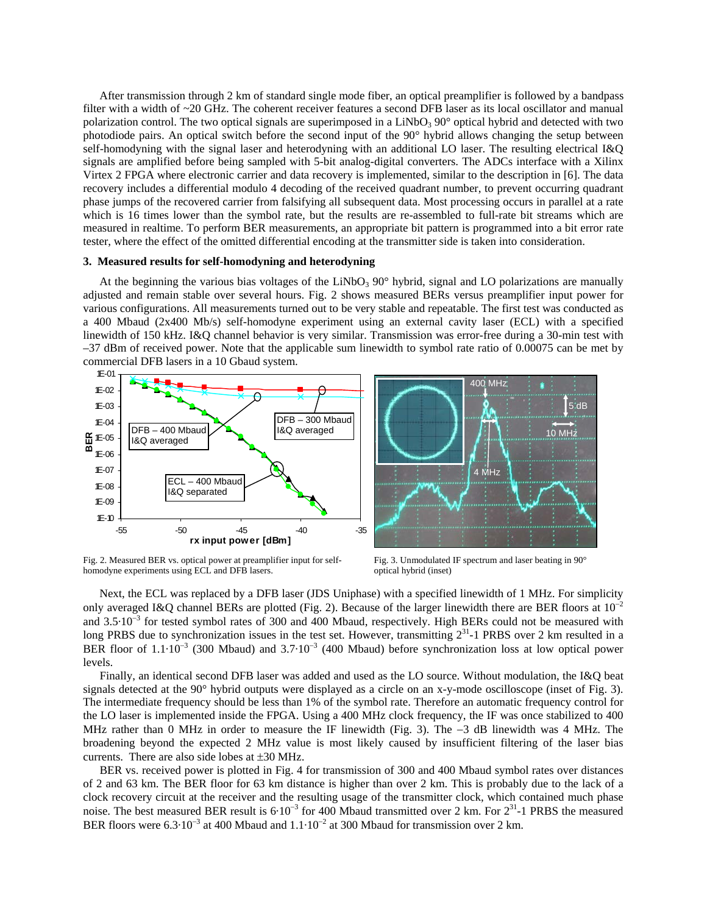After transmission through 2 km of standard single mode fiber, an optical preamplifier is followed by a bandpass filter with a width of ~20 GHz. The coherent receiver features a second DFB laser as its local oscillator and manual polarization control. The two optical signals are superimposed in a  $LiNbO<sub>3</sub> 90<sup>o</sup>$  optical hybrid and detected with two photodiode pairs. An optical switch before the second input of the 90° hybrid allows changing the setup between self-homodyning with the signal laser and heterodyning with an additional LO laser. The resulting electrical I&Q signals are amplified before being sampled with 5-bit analog-digital converters. The ADCs interface with a Xilinx Virtex 2 FPGA where electronic carrier and data recovery is implemented, similar to the description in [6]. The data recovery includes a differential modulo 4 decoding of the received quadrant number, to prevent occurring quadrant phase jumps of the recovered carrier from falsifying all subsequent data. Most processing occurs in parallel at a rate which is 16 times lower than the symbol rate, but the results are re-assembled to full-rate bit streams which are measured in realtime. To perform BER measurements, an appropriate bit pattern is programmed into a bit error rate tester, where the effect of the omitted differential encoding at the transmitter side is taken into consideration.

### **3. Measured results for self-homodyning and heterodyning**

At the beginning the various bias voltages of the LiNbO<sub>3</sub> 90 $^{\circ}$  hybrid, signal and LO polarizations are manually adjusted and remain stable over several hours. Fig. 2 shows measured BERs versus preamplifier input power for various configurations. All measurements turned out to be very stable and repeatable. The first test was conducted as a 400 Mbaud (2x400 Mb/s) self-homodyne experiment using an external cavity laser (ECL) with a specified linewidth of 150 kHz. I&Q channel behavior is very similar. Transmission was error-free during a 30-min test with –37 dBm of received power. Note that the applicable sum linewidth to symbol rate ratio of 0.00075 can be met by commercial DFB lasers in a 10 Gbaud system.



Fig. 2. Measured BER vs. optical power at preamplifier input for self-<br>Fig. 3. Unmodulated IF spectrum and laser beating in 90° homodyne experiments using ECL and DFB lasers. optical hybrid (inset)

Next, the ECL was replaced by a DFB laser (JDS Uniphase) with a specified linewidth of 1 MHz. For simplicity only averaged I&Q channel BERs are plotted (Fig. 2). Because of the larger linewidth there are BER floors at  $10^{-2}$ and 3.5⋅10<sup>-3</sup> for tested symbol rates of 300 and 400 Mbaud, respectively. High BERs could not be measured with long PRBS due to synchronization issues in the test set. However, transmitting  $2^{31}$ -1 PRBS over 2 km resulted in a BER floor of  $1.1 \cdot 10^{-3}$  (300 Mbaud) and 3.7 $\cdot 10^{-3}$  (400 Mbaud) before synchronization loss at low optical power levels.

Finally, an identical second DFB laser was added and used as the LO source. Without modulation, the I&Q beat signals detected at the 90° hybrid outputs were displayed as a circle on an x-y-mode oscilloscope (inset of Fig. 3). The intermediate frequency should be less than 1% of the symbol rate. Therefore an automatic frequency control for the LO laser is implemented inside the FPGA. Using a 400 MHz clock frequency, the IF was once stabilized to 400 MHz rather than 0 MHz in order to measure the IF linewidth (Fig. 3). The −3 dB linewidth was 4 MHz. The broadening beyond the expected 2 MHz value is most likely caused by insufficient filtering of the laser bias currents. There are also side lobes at ±30 MHz.

BER vs. received power is plotted in Fig. 4 for transmission of 300 and 400 Mbaud symbol rates over distances of 2 and 63 km. The BER floor for 63 km distance is higher than over 2 km. This is probably due to the lack of a clock recovery circuit at the receiver and the resulting usage of the transmitter clock, which contained much phase noise. The best measured BER result is  $6·10^{-3}$  for 400 Mbaud transmitted over 2 km. For  $2^{31}$ -1 PRBS the measured BER floors were  $6.3 \cdot 10^{-3}$  at 400 Mbaud and  $1.1 \cdot 10^{-2}$  at 300 Mbaud for transmission over 2 km.